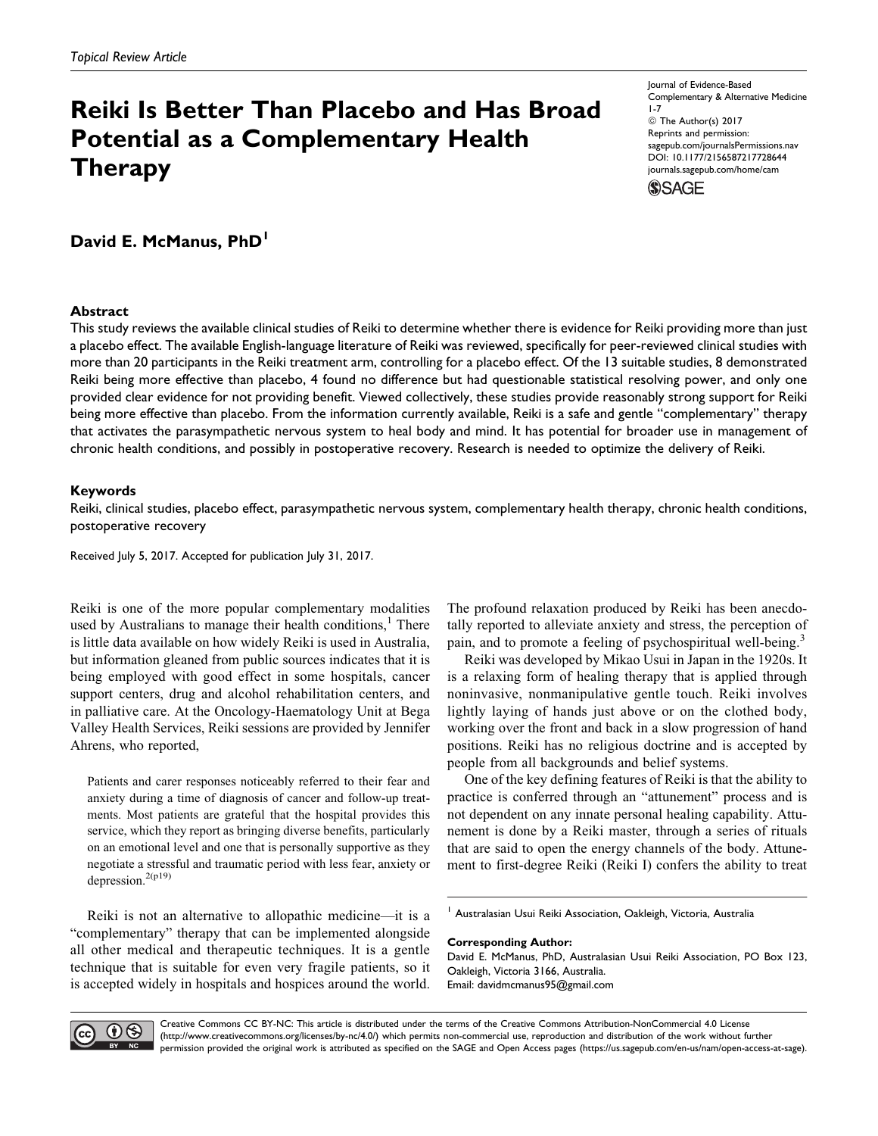# Reiki Is Better Than Placebo and Has Broad Potential as a Complementary Health Therapy

Journal of Evidence-Based Complementary & Alternative Medicine 1-7 © The Author(s) 2017 Reprints and permission: [sagepub.com/journalsPermissions.nav](https://us.sagepub.com/en-us/journals-permissions) [DOI: 10.1177/2156587217728644](https://doi.org/10.1177/2156587217728644) [journals.sagepub.com/home/cam](http://journals.sagepub.com/home/chp)



David E. McManus, PhD<sup>1</sup>

## Abstract

This study reviews the available clinical studies of Reiki to determine whether there is evidence for Reiki providing more than just a placebo effect. The available English-language literature of Reiki was reviewed, specifically for peer-reviewed clinical studies with more than 20 participants in the Reiki treatment arm, controlling for a placebo effect. Of the 13 suitable studies, 8 demonstrated Reiki being more effective than placebo, 4 found no difference but had questionable statistical resolving power, and only one provided clear evidence for not providing benefit. Viewed collectively, these studies provide reasonably strong support for Reiki being more effective than placebo. From the information currently available, Reiki is a safe and gentle "complementary" therapy that activates the parasympathetic nervous system to heal body and mind. It has potential for broader use in management of chronic health conditions, and possibly in postoperative recovery. Research is needed to optimize the delivery of Reiki.

## Keywords

Reiki, clinical studies, placebo effect, parasympathetic nervous system, complementary health therapy, chronic health conditions, postoperative recovery

Received July 5, 2017. Accepted for publication July 31, 2017.

Reiki is one of the more popular complementary modalities used by Australians to manage their health conditions, $<sup>1</sup>$  There</sup> is little data available on how widely Reiki is used in Australia, but information gleaned from public sources indicates that it is being employed with good effect in some hospitals, cancer support centers, drug and alcohol rehabilitation centers, and in palliative care. At the Oncology-Haematology Unit at Bega Valley Health Services, Reiki sessions are provided by Jennifer Ahrens, who reported,

Patients and carer responses noticeably referred to their fear and anxiety during a time of diagnosis of cancer and follow-up treatments. Most patients are grateful that the hospital provides this service, which they report as bringing diverse benefits, particularly on an emotional level and one that is personally supportive as they negotiate a stressful and traumatic period with less fear, anxiety or depression.<sup>2(p19)</sup>

Reiki is not an alternative to allopathic medicine—it is a "complementary" therapy that can be implemented alongside all other medical and therapeutic techniques. It is a gentle technique that is suitable for even very fragile patients, so it is accepted widely in hospitals and hospices around the world.

The profound relaxation produced by Reiki has been anecdotally reported to alleviate anxiety and stress, the perception of pain, and to promote a feeling of psychospiritual well-being.<sup>3</sup>

Reiki was developed by Mikao Usui in Japan in the 1920s. It is a relaxing form of healing therapy that is applied through noninvasive, nonmanipulative gentle touch. Reiki involves lightly laying of hands just above or on the clothed body, working over the front and back in a slow progression of hand positions. Reiki has no religious doctrine and is accepted by people from all backgrounds and belief systems.

One of the key defining features of Reiki is that the ability to practice is conferred through an "attunement" process and is not dependent on any innate personal healing capability. Attunement is done by a Reiki master, through a series of rituals that are said to open the energy channels of the body. Attunement to first-degree Reiki (Reiki I) confers the ability to treat

<sup>1</sup> Australasian Usui Reiki Association, Oakleigh, Victoria, Australia

Corresponding Author:

David E. McManus, PhD, Australasian Usui Reiki Association, PO Box 123, Oakleigh, Victoria 3166, Australia. Email: davidmcmanus95@gmail.com



Creative Commons CC BY-NC: This article is distributed under the terms of the Creative Commons Attribution-NonCommercial 4.0 License (http://www.creativecommons.org/licenses/by-nc/4.0/) which permits non-commercial use, reproduction and distribution of the work without further permission provided the original work is attributed as specified on the SAGE and Open Access pages (https://us.sagepub.com/en-us/nam/open-access-at-sage).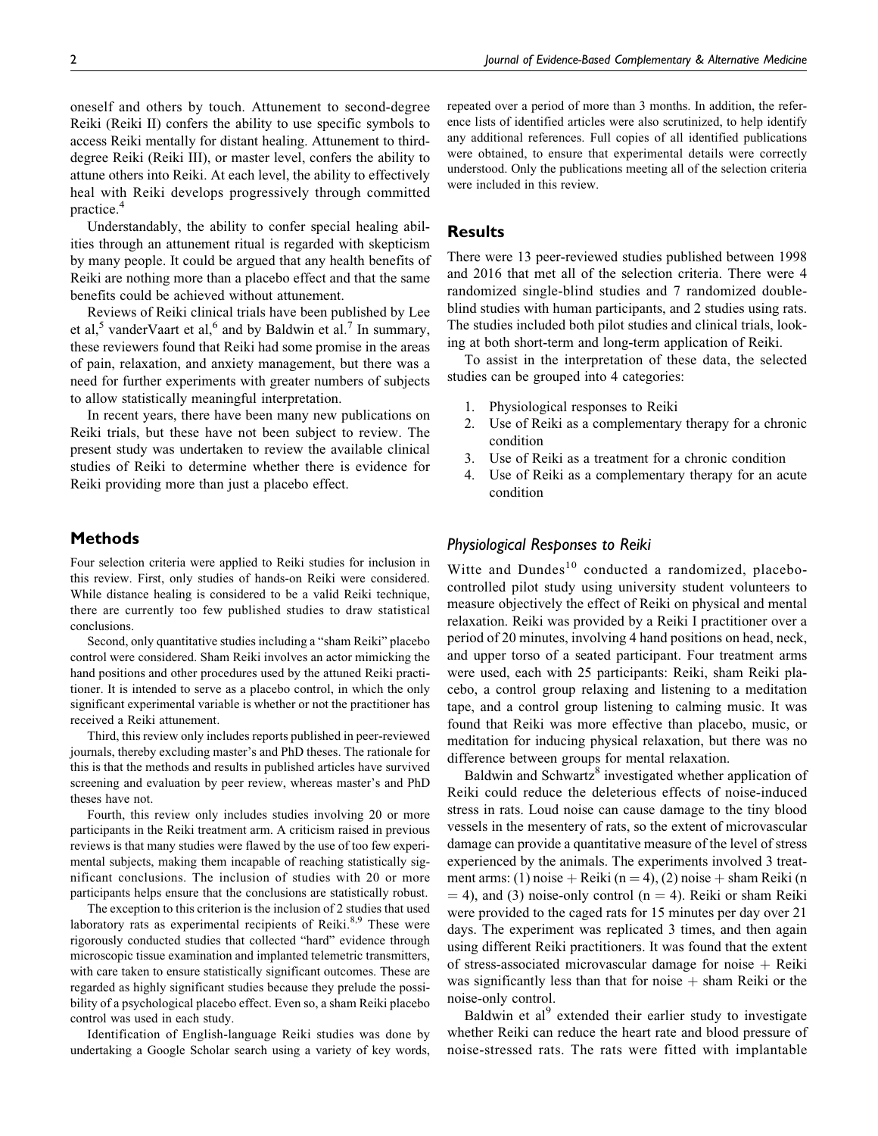oneself and others by touch. Attunement to second-degree Reiki (Reiki II) confers the ability to use specific symbols to access Reiki mentally for distant healing. Attunement to thirddegree Reiki (Reiki III), or master level, confers the ability to attune others into Reiki. At each level, the ability to effectively heal with Reiki develops progressively through committed practice.<sup>4</sup>

Understandably, the ability to confer special healing abilities through an attunement ritual is regarded with skepticism by many people. It could be argued that any health benefits of Reiki are nothing more than a placebo effect and that the same benefits could be achieved without attunement.

Reviews of Reiki clinical trials have been published by Lee et al,<sup>5</sup> vanderVaart et al,<sup>6</sup> and by Baldwin et al.<sup>7</sup> In summary, these reviewers found that Reiki had some promise in the areas of pain, relaxation, and anxiety management, but there was a need for further experiments with greater numbers of subjects to allow statistically meaningful interpretation.

In recent years, there have been many new publications on Reiki trials, but these have not been subject to review. The present study was undertaken to review the available clinical studies of Reiki to determine whether there is evidence for Reiki providing more than just a placebo effect.

## **Methods**

Four selection criteria were applied to Reiki studies for inclusion in this review. First, only studies of hands-on Reiki were considered. While distance healing is considered to be a valid Reiki technique, there are currently too few published studies to draw statistical conclusions.

Second, only quantitative studies including a "sham Reiki" placebo control were considered. Sham Reiki involves an actor mimicking the hand positions and other procedures used by the attuned Reiki practitioner. It is intended to serve as a placebo control, in which the only significant experimental variable is whether or not the practitioner has received a Reiki attunement.

Third, this review only includes reports published in peer-reviewed journals, thereby excluding master's and PhD theses. The rationale for this is that the methods and results in published articles have survived screening and evaluation by peer review, whereas master's and PhD theses have not.

Fourth, this review only includes studies involving 20 or more participants in the Reiki treatment arm. A criticism raised in previous reviews is that many studies were flawed by the use of too few experimental subjects, making them incapable of reaching statistically significant conclusions. The inclusion of studies with 20 or more participants helps ensure that the conclusions are statistically robust.

The exception to this criterion is the inclusion of 2 studies that used laboratory rats as experimental recipients of Reiki.<sup>8,9</sup> These were rigorously conducted studies that collected "hard" evidence through microscopic tissue examination and implanted telemetric transmitters, with care taken to ensure statistically significant outcomes. These are regarded as highly significant studies because they prelude the possibility of a psychological placebo effect. Even so, a sham Reiki placebo control was used in each study.

Identification of English-language Reiki studies was done by undertaking a Google Scholar search using a variety of key words, repeated over a period of more than 3 months. In addition, the reference lists of identified articles were also scrutinized, to help identify any additional references. Full copies of all identified publications were obtained, to ensure that experimental details were correctly understood. Only the publications meeting all of the selection criteria were included in this review.

## **Results**

There were 13 peer-reviewed studies published between 1998 and 2016 that met all of the selection criteria. There were 4 randomized single-blind studies and 7 randomized doubleblind studies with human participants, and 2 studies using rats. The studies included both pilot studies and clinical trials, looking at both short-term and long-term application of Reiki.

To assist in the interpretation of these data, the selected studies can be grouped into 4 categories:

- 1. Physiological responses to Reiki
- 2. Use of Reiki as a complementary therapy for a chronic condition
- 3. Use of Reiki as a treatment for a chronic condition
- 4. Use of Reiki as a complementary therapy for an acute condition

# Physiological Responses to Reiki

Witte and Dundes $10$  conducted a randomized, placebocontrolled pilot study using university student volunteers to measure objectively the effect of Reiki on physical and mental relaxation. Reiki was provided by a Reiki I practitioner over a period of 20 minutes, involving 4 hand positions on head, neck, and upper torso of a seated participant. Four treatment arms were used, each with 25 participants: Reiki, sham Reiki placebo, a control group relaxing and listening to a meditation tape, and a control group listening to calming music. It was found that Reiki was more effective than placebo, music, or meditation for inducing physical relaxation, but there was no difference between groups for mental relaxation.

Baldwin and Schwartz<sup>8</sup> investigated whether application of Reiki could reduce the deleterious effects of noise-induced stress in rats. Loud noise can cause damage to the tiny blood vessels in the mesentery of rats, so the extent of microvascular damage can provide a quantitative measure of the level of stress experienced by the animals. The experiments involved 3 treatment arms: (1) noise + Reiki (n = 4), (2) noise + sham Reiki (n  $(4, 4)$ , and (3) noise-only control (n  $(4, 4)$ ). Reiki or sham Reiki were provided to the caged rats for 15 minutes per day over 21 days. The experiment was replicated 3 times, and then again using different Reiki practitioners. It was found that the extent of stress-associated microvascular damage for noise  $+$  Reiki was significantly less than that for noise  $+$  sham Reiki or the noise-only control.

Baldwin et al<sup>9</sup> extended their earlier study to investigate whether Reiki can reduce the heart rate and blood pressure of noise-stressed rats. The rats were fitted with implantable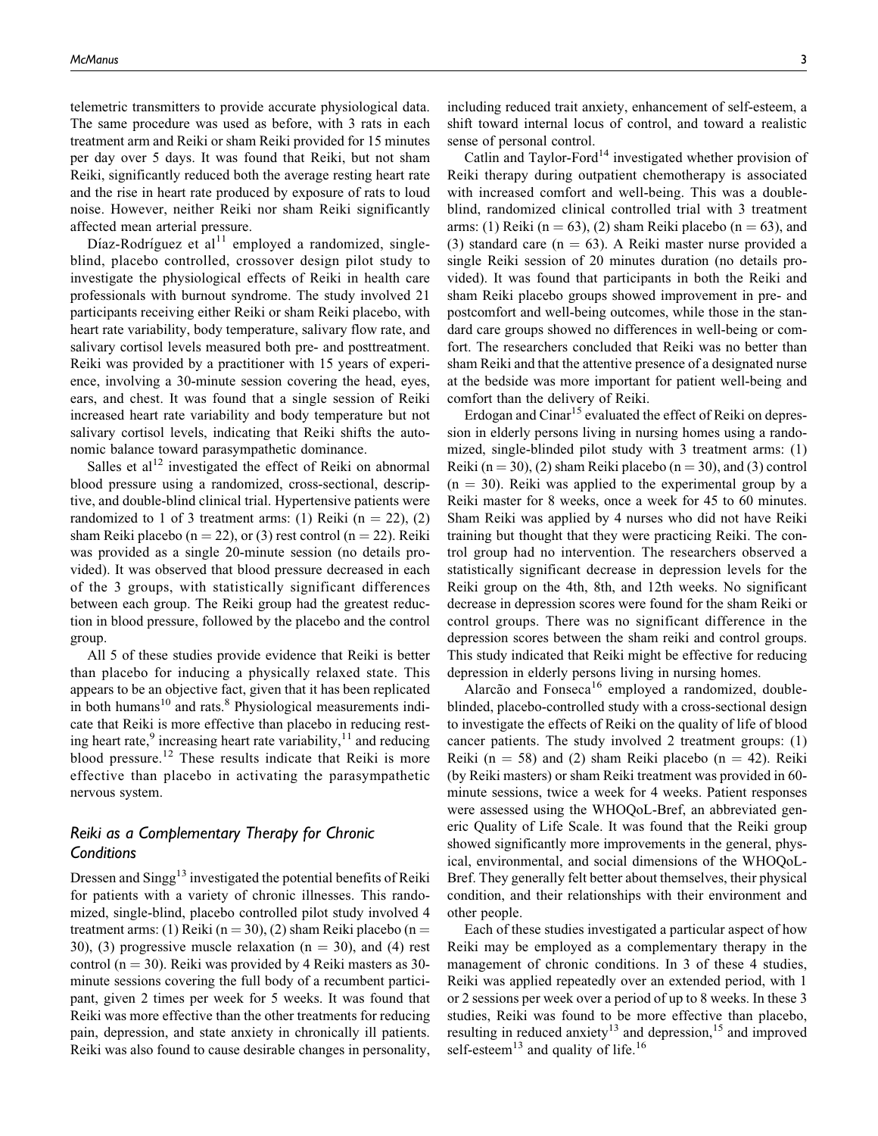telemetric transmitters to provide accurate physiological data. The same procedure was used as before, with 3 rats in each treatment arm and Reiki or sham Reiki provided for 15 minutes per day over 5 days. It was found that Reiki, but not sham Reiki, significantly reduced both the average resting heart rate and the rise in heart rate produced by exposure of rats to loud noise. However, neither Reiki nor sham Reiki significantly affected mean arterial pressure.

Díaz-Rodríguez et al $<sup>11</sup>$  employed a randomized, single-</sup> blind, placebo controlled, crossover design pilot study to investigate the physiological effects of Reiki in health care professionals with burnout syndrome. The study involved 21 participants receiving either Reiki or sham Reiki placebo, with heart rate variability, body temperature, salivary flow rate, and salivary cortisol levels measured both pre- and posttreatment. Reiki was provided by a practitioner with 15 years of experience, involving a 30-minute session covering the head, eyes, ears, and chest. It was found that a single session of Reiki increased heart rate variability and body temperature but not salivary cortisol levels, indicating that Reiki shifts the autonomic balance toward parasympathetic dominance.

Salles et  $al<sup>12</sup>$  investigated the effect of Reiki on abnormal blood pressure using a randomized, cross-sectional, descriptive, and double-blind clinical trial. Hypertensive patients were randomized to 1 of 3 treatment arms: (1) Reiki  $(n = 22)$ , (2) sham Reiki placebo (n = 22), or (3) rest control (n = 22). Reiki was provided as a single 20-minute session (no details provided). It was observed that blood pressure decreased in each of the 3 groups, with statistically significant differences between each group. The Reiki group had the greatest reduction in blood pressure, followed by the placebo and the control group.

All 5 of these studies provide evidence that Reiki is better than placebo for inducing a physically relaxed state. This appears to be an objective fact, given that it has been replicated in both humans<sup>10</sup> and rats.<sup>8</sup> Physiological measurements indicate that Reiki is more effective than placebo in reducing resting heart rate, $9$  increasing heart rate variability, $11$  and reducing blood pressure.<sup>12</sup> These results indicate that Reiki is more effective than placebo in activating the parasympathetic nervous system.

# Reiki as a Complementary Therapy for Chronic **Conditions**

Dressen and Singg<sup>13</sup> investigated the potential benefits of Reiki for patients with a variety of chronic illnesses. This randomized, single-blind, placebo controlled pilot study involved 4 treatment arms: (1) Reiki (n = 30), (2) sham Reiki placebo (n = 30), (3) progressive muscle relaxation ( $n = 30$ ), and (4) rest control (n  $=$  30). Reiki was provided by 4 Reiki masters as 30minute sessions covering the full body of a recumbent participant, given 2 times per week for 5 weeks. It was found that Reiki was more effective than the other treatments for reducing pain, depression, and state anxiety in chronically ill patients. Reiki was also found to cause desirable changes in personality, including reduced trait anxiety, enhancement of self-esteem, a shift toward internal locus of control, and toward a realistic sense of personal control.

Catlin and Taylor-Ford<sup>14</sup> investigated whether provision of Reiki therapy during outpatient chemotherapy is associated with increased comfort and well-being. This was a doubleblind, randomized clinical controlled trial with 3 treatment arms: (1) Reiki ( $n = 63$ ), (2) sham Reiki placebo ( $n = 63$ ), and (3) standard care ( $n = 63$ ). A Reiki master nurse provided a single Reiki session of 20 minutes duration (no details provided). It was found that participants in both the Reiki and sham Reiki placebo groups showed improvement in pre- and postcomfort and well-being outcomes, while those in the standard care groups showed no differences in well-being or comfort. The researchers concluded that Reiki was no better than sham Reiki and that the attentive presence of a designated nurse at the bedside was more important for patient well-being and comfort than the delivery of Reiki.

Erdogan and Cinar<sup>15</sup> evaluated the effect of Reiki on depression in elderly persons living in nursing homes using a randomized, single-blinded pilot study with 3 treatment arms: (1) Reiki ( $n = 30$ ), (2) sham Reiki placebo ( $n = 30$ ), and (3) control  $(n = 30)$ . Reiki was applied to the experimental group by a Reiki master for 8 weeks, once a week for 45 to 60 minutes. Sham Reiki was applied by 4 nurses who did not have Reiki training but thought that they were practicing Reiki. The control group had no intervention. The researchers observed a statistically significant decrease in depression levels for the Reiki group on the 4th, 8th, and 12th weeks. No significant decrease in depression scores were found for the sham Reiki or control groups. There was no significant difference in the depression scores between the sham reiki and control groups. This study indicated that Reiki might be effective for reducing depression in elderly persons living in nursing homes.

Alarcão and Fonseca<sup>16</sup> employed a randomized, doubleblinded, placebo-controlled study with a cross-sectional design to investigate the effects of Reiki on the quality of life of blood cancer patients. The study involved 2 treatment groups: (1) Reiki (n = 58) and (2) sham Reiki placebo (n = 42). Reiki (by Reiki masters) or sham Reiki treatment was provided in 60 minute sessions, twice a week for 4 weeks. Patient responses were assessed using the WHOQoL-Bref, an abbreviated generic Quality of Life Scale. It was found that the Reiki group showed significantly more improvements in the general, physical, environmental, and social dimensions of the WHOQoL-Bref. They generally felt better about themselves, their physical condition, and their relationships with their environment and other people.

Each of these studies investigated a particular aspect of how Reiki may be employed as a complementary therapy in the management of chronic conditions. In 3 of these 4 studies, Reiki was applied repeatedly over an extended period, with 1 or 2 sessions per week over a period of up to 8 weeks. In these 3 studies, Reiki was found to be more effective than placebo, resulting in reduced anxiety<sup>13</sup> and depression,<sup>15</sup> and improved self-esteem<sup>13</sup> and quality of life.<sup>16</sup>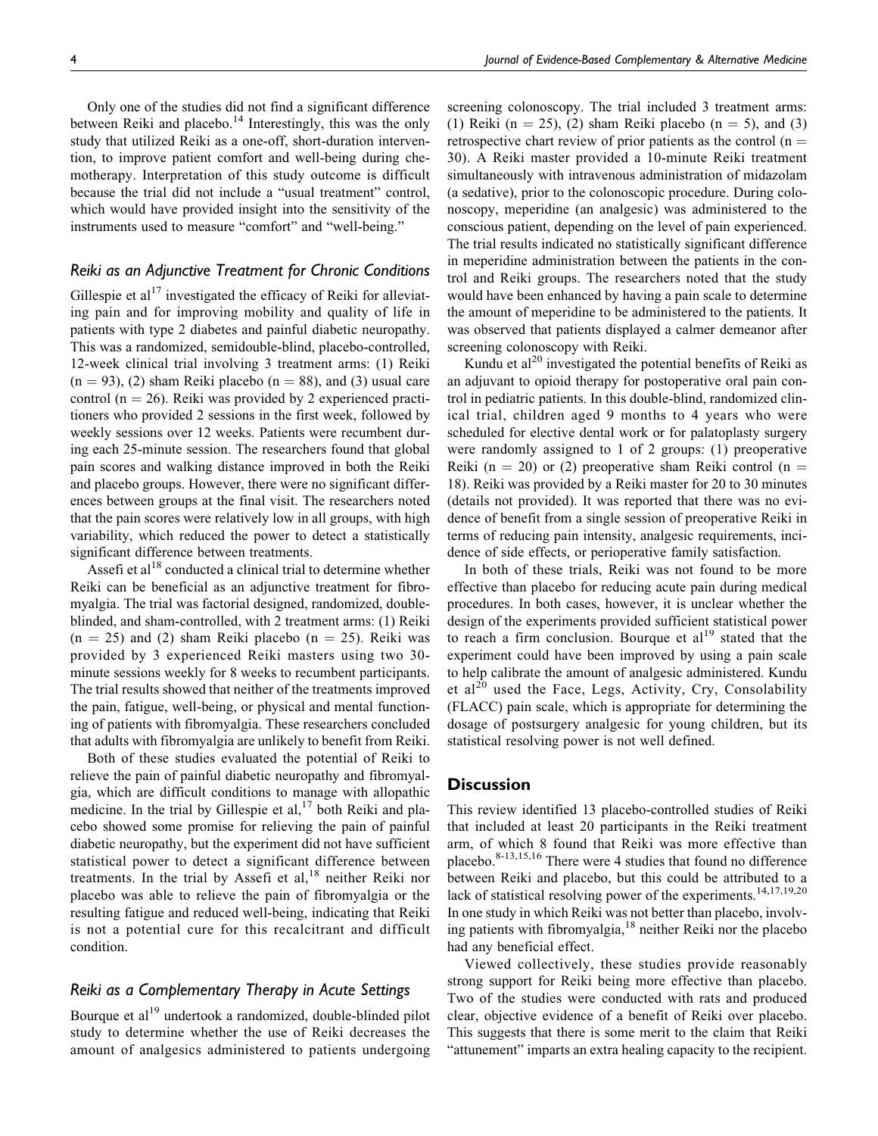Only one of the studies did not find a significant difference between Reiki and placebo.<sup>14</sup> Interestingly, this was the only study that utilized Reiki as a one-off, short-duration intervention, to improve patient comfort and well-being during chemotherapy. Interpretation of this study outcome is difficult because the trial did not include a "usual treatment" control, which would have provided insight into the sensitivity of the instruments used to measure "comfort" and "well-being."

# Reiki as an Adjunctive Treatment for Chronic Conditions

Gillespie et al<sup>17</sup> investigated the efficacy of Reiki for alleviating pain and for improving mobility and quality of life in patients with type 2 diabetes and painful diabetic neuropathy. This was a randomized, semidouble-blind, placebo-controlled, 12-week clinical trial involving 3 treatment arms: (1) Reiki  $(n = 93)$ , (2) sham Reiki placebo  $(n = 88)$ , and (3) usual care control ( $n = 26$ ). Reiki was provided by 2 experienced practitioners who provided 2 sessions in the first week, followed by weekly sessions over 12 weeks. Patients were recumbent during each 25-minute session. The researchers found that global pain scores and walking distance improved in both the Reiki and placebo groups. However, there were no significant differences between groups at the final visit. The researchers noted that the pain scores were relatively low in all groups, with high variability, which reduced the power to detect a statistically significant difference between treatments.

Assefi et al<sup>18</sup> conducted a clinical trial to determine whether Reiki can be beneficial as an adjunctive treatment for fibromyalgia. The trial was factorial designed, randomized, doubleblinded, and sham-controlled, with 2 treatment arms: (1) Reiki  $(n = 25)$  and (2) sham Reiki placebo  $(n = 25)$ . Reiki was provided by 3 experienced Reiki masters using two 30 minute sessions weekly for 8 weeks to recumbent participants. The trial results showed that neither of the treatments improved the pain, fatigue, well-being, or physical and mental functioning of patients with fibromyalgia. These researchers concluded that adults with fibromyalgia are unlikely to benefit from Reiki.

Both of these studies evaluated the potential of Reiki to relieve the pain of painful diabetic neuropathy and fibromyalgia, which are difficult conditions to manage with allopathic medicine. In the trial by Gillespie et  $al$ ,<sup>17</sup> both Reiki and placebo showed some promise for relieving the pain of painful diabetic neuropathy, but the experiment did not have sufficient statistical power to detect a significant difference between treatments. In the trial by Assefi et al,  $18$  neither Reiki nor placebo was able to relieve the pain of fibromyalgia or the resulting fatigue and reduced well-being, indicating that Reiki is not a potential cure for this recalcitrant and difficult condition.

# Reiki as a Complementary Therapy in Acute Settings

Bourque et al<sup>19</sup> undertook a randomized, double-blinded pilot study to determine whether the use of Reiki decreases the amount of analgesics administered to patients undergoing screening colonoscopy. The trial included 3 treatment arms: (1) Reiki (n = 25), (2) sham Reiki placebo (n = 5), and (3) retrospective chart review of prior patients as the control  $(n =$ 30). A Reiki master provided a 10-minute Reiki treatment simultaneously with intravenous administration of midazolam (a sedative), prior to the colonoscopic procedure. During colonoscopy, meperidine (an analgesic) was administered to the conscious patient, depending on the level of pain experienced. The trial results indicated no statistically significant difference in meperidine administration between the patients in the control and Reiki groups. The researchers noted that the study would have been enhanced by having a pain scale to determine the amount of meperidine to be administered to the patients. It was observed that patients displayed a calmer demeanor after screening colonoscopy with Reiki.

Kundu et  $al^{20}$  investigated the potential benefits of Reiki as an adjuvant to opioid therapy for postoperative oral pain control in pediatric patients. In this double-blind, randomized clinical trial, children aged 9 months to 4 years who were scheduled for elective dental work or for palatoplasty surgery were randomly assigned to 1 of 2 groups: (1) preoperative Reiki (n = 20) or (2) preoperative sham Reiki control (n = 18). Reiki was provided by a Reiki master for 20 to 30 minutes (details not provided). It was reported that there was no evidence of benefit from a single session of preoperative Reiki in terms of reducing pain intensity, analgesic requirements, incidence of side effects, or perioperative family satisfaction.

In both of these trials, Reiki was not found to be more effective than placebo for reducing acute pain during medical procedures. In both cases, however, it is unclear whether the design of the experiments provided sufficient statistical power to reach a firm conclusion. Bourque et  $al<sup>19</sup>$  stated that the experiment could have been improved by using a pain scale to help calibrate the amount of analgesic administered. Kundu et  $al^{20}$  used the Face, Legs, Activity, Cry, Consolability (FLACC) pain scale, which is appropriate for determining the dosage of postsurgery analgesic for young children, but its statistical resolving power is not well defined.

## **Discussion**

This review identified 13 placebo-controlled studies of Reiki that included at least 20 participants in the Reiki treatment arm, of which 8 found that Reiki was more effective than placebo.8-13,15,16 There were 4 studies that found no difference between Reiki and placebo, but this could be attributed to a lack of statistical resolving power of the experiments.<sup>14,17,19,20</sup> In one study in which Reiki was not better than placebo, involving patients with fibromyalgia, $^{18}$  neither Reiki nor the placebo had any beneficial effect.

Viewed collectively, these studies provide reasonably strong support for Reiki being more effective than placebo. Two of the studies were conducted with rats and produced clear, objective evidence of a benefit of Reiki over placebo. This suggests that there is some merit to the claim that Reiki "attunement" imparts an extra healing capacity to the recipient.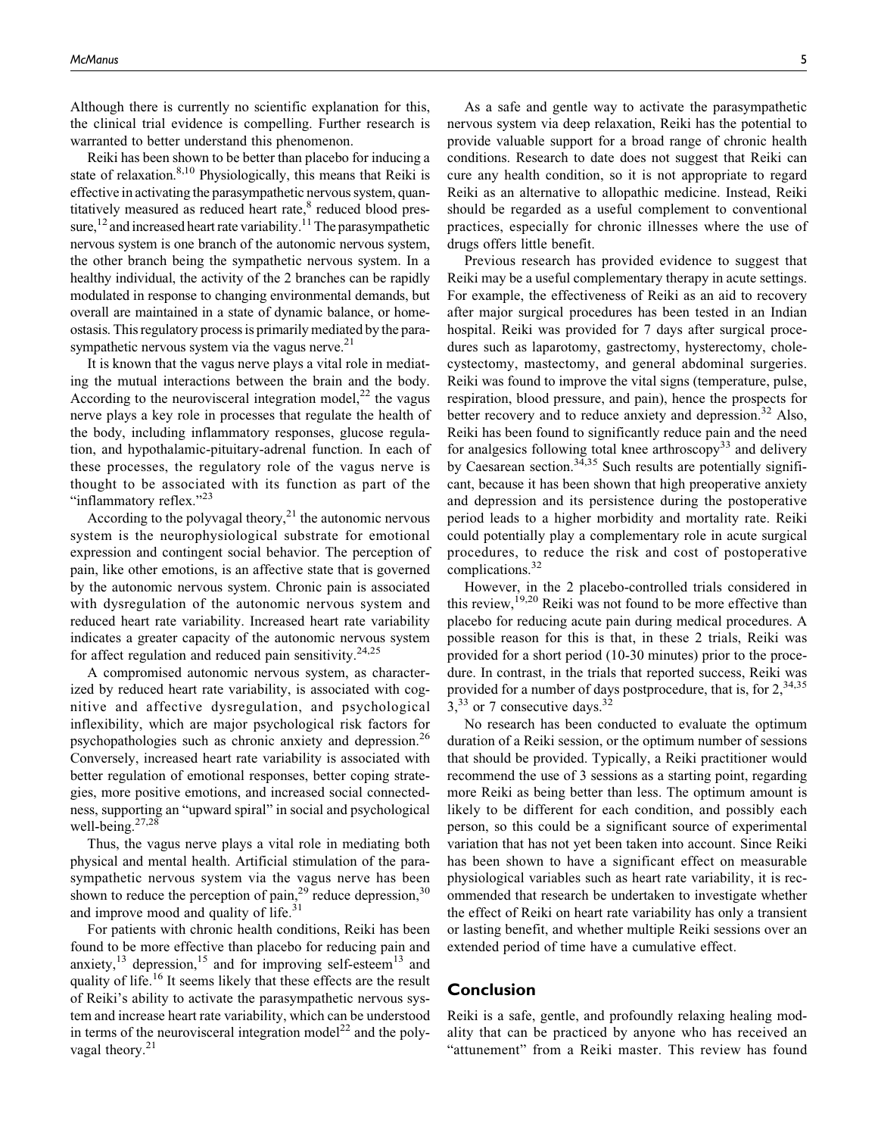Although there is currently no scientific explanation for this, the clinical trial evidence is compelling. Further research is warranted to better understand this phenomenon.

Reiki has been shown to be better than placebo for inducing a state of relaxation.<sup>8,10</sup> Physiologically, this means that Reiki is effective in activating the parasympathetic nervous system, quantitatively measured as reduced heart rate,<sup>8</sup> reduced blood pressure,<sup>12</sup> and increased heart rate variability.<sup>11</sup> The parasympathetic nervous system is one branch of the autonomic nervous system, the other branch being the sympathetic nervous system. In a healthy individual, the activity of the 2 branches can be rapidly modulated in response to changing environmental demands, but overall are maintained in a state of dynamic balance, or homeostasis. This regulatory process is primarily mediated by the parasympathetic nervous system via the vagus nerve. $2<sup>1</sup>$ 

It is known that the vagus nerve plays a vital role in mediating the mutual interactions between the brain and the body. According to the neurovisceral integration model,<sup>22</sup> the vagus nerve plays a key role in processes that regulate the health of the body, including inflammatory responses, glucose regulation, and hypothalamic-pituitary-adrenal function. In each of these processes, the regulatory role of the vagus nerve is thought to be associated with its function as part of the "inflammatory reflex."<sup>23</sup>

According to the polyvagal theory, $^{21}$  the autonomic nervous system is the neurophysiological substrate for emotional expression and contingent social behavior. The perception of pain, like other emotions, is an affective state that is governed by the autonomic nervous system. Chronic pain is associated with dysregulation of the autonomic nervous system and reduced heart rate variability. Increased heart rate variability indicates a greater capacity of the autonomic nervous system for affect regulation and reduced pain sensitivity.<sup>24,25</sup>

A compromised autonomic nervous system, as characterized by reduced heart rate variability, is associated with cognitive and affective dysregulation, and psychological inflexibility, which are major psychological risk factors for psychopathologies such as chronic anxiety and depression.<sup>26</sup> Conversely, increased heart rate variability is associated with better regulation of emotional responses, better coping strategies, more positive emotions, and increased social connectedness, supporting an "upward spiral" in social and psychological well-being. $27,28$ 

Thus, the vagus nerve plays a vital role in mediating both physical and mental health. Artificial stimulation of the parasympathetic nervous system via the vagus nerve has been shown to reduce the perception of pain,<sup>29</sup> reduce depression,<sup>30</sup> and improve mood and quality of life.<sup>31</sup>

For patients with chronic health conditions, Reiki has been found to be more effective than placebo for reducing pain and anxiety, $^{13}$  depression, $^{15}$  and for improving self-esteem $^{13}$  and quality of life.<sup>16</sup> It seems likely that these effects are the result of Reiki's ability to activate the parasympathetic nervous system and increase heart rate variability, which can be understood in terms of the neurovisceral integration model<sup>22</sup> and the polyvagal theory. $21$ 

As a safe and gentle way to activate the parasympathetic nervous system via deep relaxation, Reiki has the potential to provide valuable support for a broad range of chronic health conditions. Research to date does not suggest that Reiki can cure any health condition, so it is not appropriate to regard Reiki as an alternative to allopathic medicine. Instead, Reiki should be regarded as a useful complement to conventional practices, especially for chronic illnesses where the use of drugs offers little benefit.

Previous research has provided evidence to suggest that Reiki may be a useful complementary therapy in acute settings. For example, the effectiveness of Reiki as an aid to recovery after major surgical procedures has been tested in an Indian hospital. Reiki was provided for 7 days after surgical procedures such as laparotomy, gastrectomy, hysterectomy, cholecystectomy, mastectomy, and general abdominal surgeries. Reiki was found to improve the vital signs (temperature, pulse, respiration, blood pressure, and pain), hence the prospects for better recovery and to reduce anxiety and depression.<sup>32</sup> Also, Reiki has been found to significantly reduce pain and the need for analgesics following total knee arthroscopy<sup>33</sup> and delivery by Caesarean section.<sup>34,35</sup> Such results are potentially significant, because it has been shown that high preoperative anxiety and depression and its persistence during the postoperative period leads to a higher morbidity and mortality rate. Reiki could potentially play a complementary role in acute surgical procedures, to reduce the risk and cost of postoperative complications.<sup>32</sup>

However, in the 2 placebo-controlled trials considered in this review,  $19,20$  Reiki was not found to be more effective than placebo for reducing acute pain during medical procedures. A possible reason for this is that, in these 2 trials, Reiki was provided for a short period (10-30 minutes) prior to the procedure. In contrast, in the trials that reported success, Reiki was provided for a number of days postprocedure, that is, for  $2^{34,35}$  $3<sup>33</sup>$  or 7 consecutive days.<sup>32</sup>

No research has been conducted to evaluate the optimum duration of a Reiki session, or the optimum number of sessions that should be provided. Typically, a Reiki practitioner would recommend the use of 3 sessions as a starting point, regarding more Reiki as being better than less. The optimum amount is likely to be different for each condition, and possibly each person, so this could be a significant source of experimental variation that has not yet been taken into account. Since Reiki has been shown to have a significant effect on measurable physiological variables such as heart rate variability, it is recommended that research be undertaken to investigate whether the effect of Reiki on heart rate variability has only a transient or lasting benefit, and whether multiple Reiki sessions over an extended period of time have a cumulative effect.

# Conclusion

Reiki is a safe, gentle, and profoundly relaxing healing modality that can be practiced by anyone who has received an "attunement" from a Reiki master. This review has found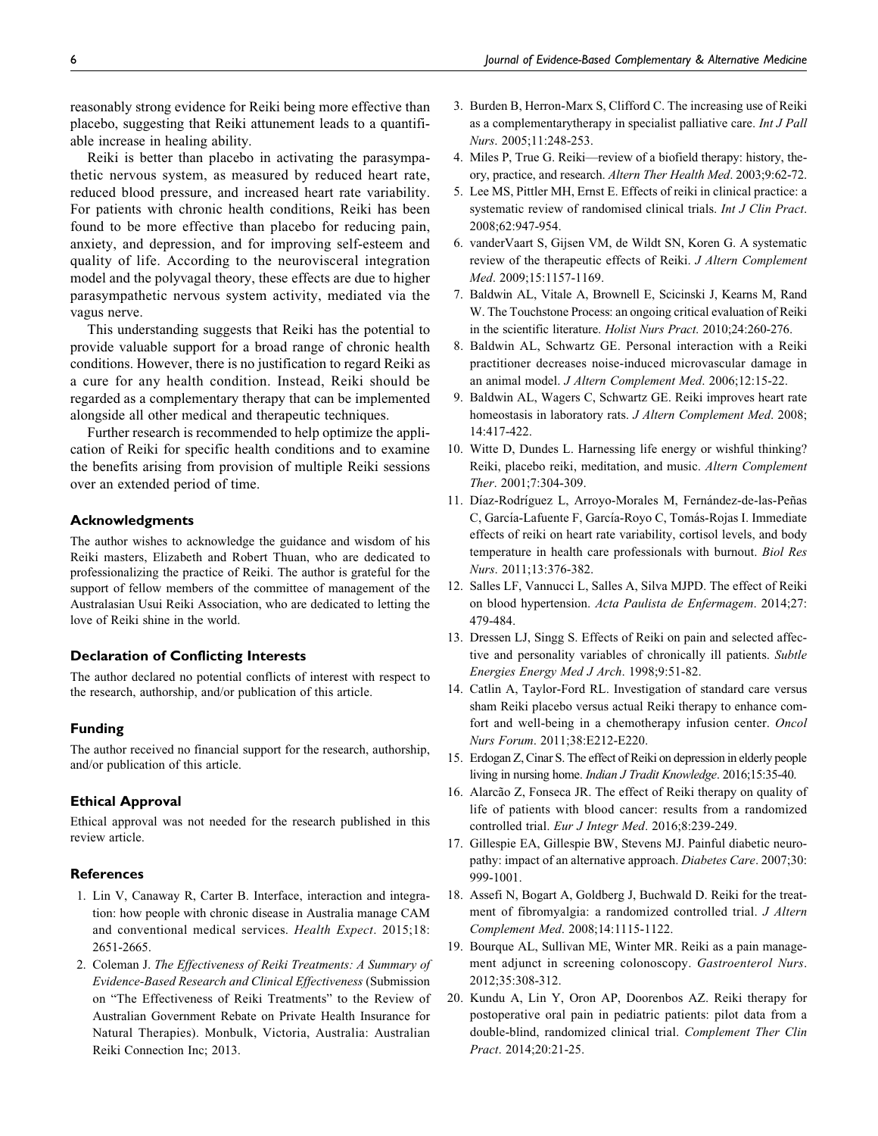reasonably strong evidence for Reiki being more effective than placebo, suggesting that Reiki attunement leads to a quantifiable increase in healing ability.

Reiki is better than placebo in activating the parasympathetic nervous system, as measured by reduced heart rate, reduced blood pressure, and increased heart rate variability. For patients with chronic health conditions, Reiki has been found to be more effective than placebo for reducing pain, anxiety, and depression, and for improving self-esteem and quality of life. According to the neurovisceral integration model and the polyvagal theory, these effects are due to higher parasympathetic nervous system activity, mediated via the vagus nerve.

This understanding suggests that Reiki has the potential to provide valuable support for a broad range of chronic health conditions. However, there is no justification to regard Reiki as a cure for any health condition. Instead, Reiki should be regarded as a complementary therapy that can be implemented alongside all other medical and therapeutic techniques.

Further research is recommended to help optimize the application of Reiki for specific health conditions and to examine the benefits arising from provision of multiple Reiki sessions over an extended period of time.

#### Acknowledgments

The author wishes to acknowledge the guidance and wisdom of his Reiki masters, Elizabeth and Robert Thuan, who are dedicated to professionalizing the practice of Reiki. The author is grateful for the support of fellow members of the committee of management of the Australasian Usui Reiki Association, who are dedicated to letting the love of Reiki shine in the world.

## Declaration of Conflicting Interests

The author declared no potential conflicts of interest with respect to the research, authorship, and/or publication of this article.

## Funding

The author received no financial support for the research, authorship, and/or publication of this article.

### Ethical Approval

Ethical approval was not needed for the research published in this review article.

### **References**

- 1. Lin V, Canaway R, Carter B. Interface, interaction and integration: how people with chronic disease in Australia manage CAM and conventional medical services. Health Expect. 2015;18: 2651-2665.
- 2. Coleman J. The Effectiveness of Reiki Treatments: A Summary of Evidence-Based Research and Clinical Effectiveness (Submission on "The Effectiveness of Reiki Treatments" to the Review of Australian Government Rebate on Private Health Insurance for Natural Therapies). Monbulk, Victoria, Australia: Australian Reiki Connection Inc; 2013.
- 3. Burden B, Herron-Marx S, Clifford C. The increasing use of Reiki as a complementarytherapy in specialist palliative care. Int J Pall Nurs. 2005;11:248-253.
- 4. Miles P, True G. Reiki—review of a biofield therapy: history, theory, practice, and research. Altern Ther Health Med. 2003;9:62-72.
- 5. Lee MS, Pittler MH, Ernst E. Effects of reiki in clinical practice: a systematic review of randomised clinical trials. Int J Clin Pract. 2008;62:947-954.
- 6. vanderVaart S, Gijsen VM, de Wildt SN, Koren G. A systematic review of the therapeutic effects of Reiki. J Altern Complement Med. 2009;15:1157-1169.
- 7. Baldwin AL, Vitale A, Brownell E, Scicinski J, Kearns M, Rand W. The Touchstone Process: an ongoing critical evaluation of Reiki in the scientific literature. Holist Nurs Pract. 2010;24:260-276.
- 8. Baldwin AL, Schwartz GE. Personal interaction with a Reiki practitioner decreases noise-induced microvascular damage in an animal model. J Altern Complement Med. 2006;12:15-22.
- 9. Baldwin AL, Wagers C, Schwartz GE. Reiki improves heart rate homeostasis in laboratory rats. J Altern Complement Med. 2008; 14:417-422.
- 10. Witte D, Dundes L. Harnessing life energy or wishful thinking? Reiki, placebo reiki, meditation, and music. Altern Complement Ther. 2001;7:304-309.
- 11. Díaz-Rodríguez L, Arroyo-Morales M, Fernández-de-las-Peñas C, García-Lafuente F, García-Royo C, Tomás-Rojas I. Immediate effects of reiki on heart rate variability, cortisol levels, and body temperature in health care professionals with burnout. Biol Res Nurs. 2011;13:376-382.
- 12. Salles LF, Vannucci L, Salles A, Silva MJPD. The effect of Reiki on blood hypertension. Acta Paulista de Enfermagem. 2014;27: 479-484.
- 13. Dressen LJ, Singg S. Effects of Reiki on pain and selected affective and personality variables of chronically ill patients. Subtle Energies Energy Med J Arch. 1998;9:51-82.
- 14. Catlin A, Taylor-Ford RL. Investigation of standard care versus sham Reiki placebo versus actual Reiki therapy to enhance comfort and well-being in a chemotherapy infusion center. Oncol Nurs Forum. 2011;38:E212-E220.
- 15. Erdogan Z, Cinar S. The effect of Reiki on depression in elderly people living in nursing home. Indian J Tradit Knowledge. 2016;15:35-40.
- 16. Alarcão Z, Fonseca JR. The effect of Reiki therapy on quality of life of patients with blood cancer: results from a randomized controlled trial. Eur J Integr Med. 2016;8:239-249.
- 17. Gillespie EA, Gillespie BW, Stevens MJ. Painful diabetic neuropathy: impact of an alternative approach. Diabetes Care. 2007;30: 999-1001.
- 18. Assefi N, Bogart A, Goldberg J, Buchwald D. Reiki for the treatment of fibromyalgia: a randomized controlled trial. J Altern Complement Med. 2008;14:1115-1122.
- 19. Bourque AL, Sullivan ME, Winter MR. Reiki as a pain management adjunct in screening colonoscopy. Gastroenterol Nurs. 2012;35:308-312.
- 20. Kundu A, Lin Y, Oron AP, Doorenbos AZ. Reiki therapy for postoperative oral pain in pediatric patients: pilot data from a double-blind, randomized clinical trial. Complement Ther Clin Pract. 2014;20:21-25.